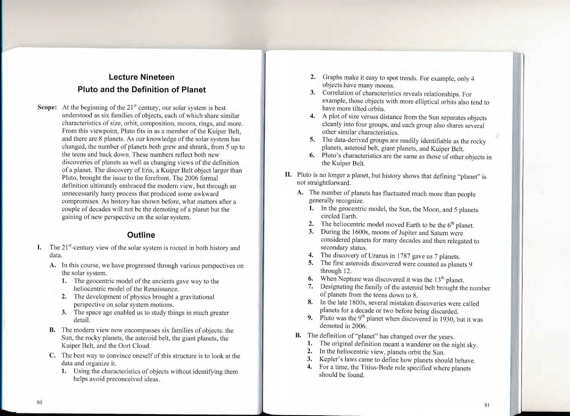## Lecture Nineteen PIuto and the Definition of Planet

Scope: At the beginning of the  $21<sup>st</sup>$  century, our solar system is best understood as six families of objects, each of which share similar characteristics of size, orbit, composition, moons, rings, and more. From this viewpoint, Pluto fits in as a member of the Kuiper Belt, and there are 8 planets. As our knowledge of the solar system has changed, the number of planets both grew and shrank, from 5 up to the teens and back down. These numbers reflect both new discoveries of planets as well as changing views of the definition of a planet. The discovery of Eris, a Kuiper Belt object larger than Pluto, brought the issue to the forefront. The 2006 formal definition ultimately embraced the modern view, but through an unnecessarily hasty process that produced some awkward compromises. As history has shown before, what matters after a couple of decades will not be the demoting of a planet but the gaining of new perspective on the solar system.

## **Outline**

- I. The  $21^{st}$ -century view of the solar system is rooted in both history and data.
	- A. In this course, we have progressed through various perspectives on the solar system.
		- 1. The geocentric model of the ancients gave way to the heliocentric model of the Renaissance.
		- 2. The development of physics brought a gravitational
		- perspective on solar system motions. 3. The space age enabled us to study things in much greater detail.
	- B. The modern view now encompasses six families of objects: the Sun, the rocky planets, the asteroid belt, the giant planets, the Kuiper Belt, and the Oort Cloud.
	- C. The best way to convince oneself of this structure is to look at the data and organize it.<br>1. Using the characteristics of objects without identifying them
		- helps avoid preconceived ideas.
- 2. Graphs make it easy to spot trends. For example, only 4 objects have many moons.
- 3. Correlation of characteristics reveals relationships. For example, those objects with more elliptical orbits also tend to have more tilted orbits.
- 4. A plot of size versus distance from the Sun separates objects cleanly into four groups, and each group also shares severai other similar characteristics.
- S. The data-derived groups are readily identifiable as the rocky planets, asteroid belt, giant planets, and Kuiper Belt.
- **6.** Pluto's characteristics are the same as those of other objects in the Kuiper Belt.
- II. Pluto is no longer a planet, but history shows that defining "planet" is not straightforward.
	- A. The number of planets has fluctuated much more than people generally recognize.
		- 1. In the geocentric model, the Sun, the Moon, and 5 planets circled Earth.
		- 2. The heliocentric model moved Earth to be the  $6<sup>th</sup>$  planet.
		- 3. During the 1600s, moons of Jupiter and Saturn were considered planets for many decades and then reiegated to secondary status.
		- The discovery of Uranus in 1787 gave us 7 planets. 4.
		- 5. The first asteroids discovered were counted as planets 9 through 12.
		- **6.** When Neptune was discovered it was the  $13^{\text{m}}$  planet.
		- Designating the family of the asteroid belt brought the number 7. of planets from the teens down to 8.
		- 8. In the late 1800s, several mistaken discoveries were called planets for a decade or two before being discarded.
		- **9.** Pluto was the 9<sup>th</sup> planet when discovered in 1930, but it was demoted in 2006.
	-
	- **B.** The definition of "planet" has changed over the years.<br>
	1. The original definition meant a wanderer on the night sky.<br>
	2. In the heliocentric view, planets orbit the Sun.<br>
	3. Kepler's laws came to define how planets s
		-
		-
		- should be found.